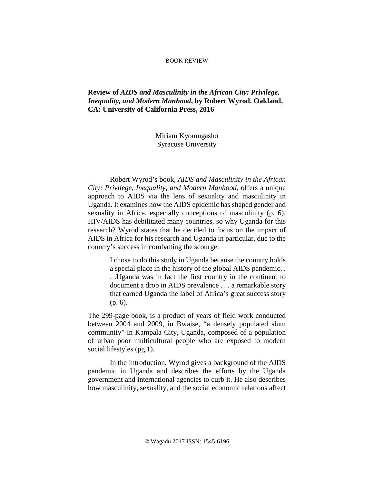## BOOK REVIEW

## **Review of** *AIDS and Masculinity in the African City: Privilege, Inequality, and Modern Manhood***, by Robert Wyrod. Oakland, CA: University of California Press, 2016**

Miriam Kyomugasho Syracuse University

Robert Wyrod's book, *AIDS and Masculinity in the African City: Privilege, Inequality, and Modern Manhood*, offers a unique approach to AIDS via the lens of sexuality and masculinity in Uganda. It examines how the AIDS epidemic has shaped gender and sexuality in Africa, especially conceptions of masculinity (p. 6). HIV/AIDS has debilitated many countries, so why Uganda for this research? Wyrod states that he decided to focus on the impact of AIDS in Africa for his research and Uganda in particular, due to the country's success in combatting the scourge:

> I chose to do this study in Uganda because the country holds a special place in the history of the global AIDS pandemic. . . .Uganda was in fact the first country in the continent to document a drop in AIDS prevalence . . . a remarkable story that earned Uganda the label of Africa's great success story (p. 6).

The 299-page book, is a product of years of field work conducted between 2004 and 2009, in Bwaise, "a densely populated slum community" in Kampala City, Uganda, composed of a population of urban poor multicultural people who are exposed to modern social lifestyles (pg.1).

In the Introduction, Wyrod gives a background of the AIDS pandemic in Uganda and describes the efforts by the Uganda government and international agencies to curb it. He also describes how masculinity, sexuality, and the social economic relations affect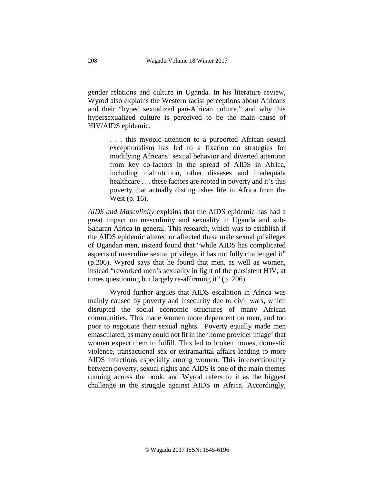gender relations and culture in Uganda. In his literature review, Wyrod also explains the Western racist perceptions about Africans and their "hyped sexualized pan-African culture*,*" and why this hypersexualized culture is perceived to be the main cause of HIV/AIDS epidemic.

> . . . this myopic attention to a purported African sexual exceptionalism has led to a fixation on strategies for modifying Africans' sexual behavior and diverted attention from key co-factors in the spread of AIDS in Africa, including malnutrition, other diseases and inadequate healthcare . . . these factors are rooted in poverty and it's this poverty that actually distinguishes life in Africa from the West (p. 16).

*AIDS and Masculinity* explains that the AIDS epidemic has had a great impact on masculinity and sexuality in Uganda and sub-Saharan Africa in general. This research, which was to establish if the AIDS epidemic altered or affected these male sexual privileges of Ugandan men, instead found that "while AIDS has complicated aspects of masculine sexual privilege, it has not fully challenged it" (p.206). Wyrod says that he found that men, as well as women, instead "reworked men's sexuality in light of the persistent HIV, at times questioning but largely re-affirming it" (p. 206).

Wyrod further argues that AIDS escalation in Africa was mainly caused by poverty and insecurity due to civil wars, which disrupted the social economic structures of many African communities. This made women more dependent on men, and too poor to negotiate their sexual rights. Poverty equally made men emasculated, as many could not fit in the 'home provider image' that women expect them to fulfill. This led to broken homes, domestic violence, transactional sex or extramarital affairs leading to more AIDS infections especially among women. This intersectionality between poverty, sexual rights and AIDS is one of the main themes running across the book, and Wyrod refers to it as the biggest challenge in the struggle against AIDS in Africa. Accordingly,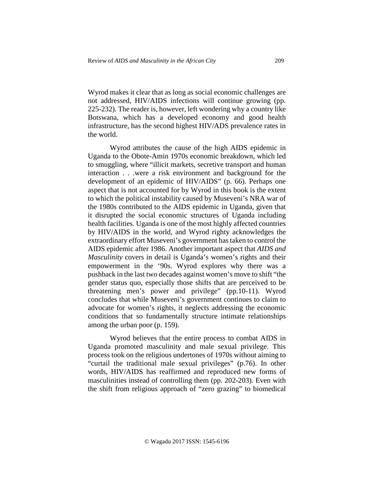Wyrod makes it clear that as long as social economic challenges are not addressed, HIV/AIDS infections will continue growing (pp. 225-232). The reader is, however, left wondering why a country like Botswana, which has a developed economy and good health infrastructure, has the second highest HIV/ADS prevalence rates in the world.

Wyrod attributes the cause of the high AIDS epidemic in Uganda to the Obote-Amin 1970s economic breakdown, which led to smuggling, where "illicit markets, secretive transport and human interaction . . .were a risk environment and background for the development of an epidemic of HIV/AIDS" (p. 66). Perhaps one aspect that is not accounted for by Wyrod in this book is the extent to which the political instability caused by Museveni's NRA war of the 1980s contributed to the AIDS epidemic in Uganda, given that it disrupted the social economic structures of Uganda including health facilities. Uganda is one of the most highly affected countries by HIV/AIDS in the world, and Wyrod righty acknowledges the extraordinary effort Museveni's government has taken to control the AIDS epidemic after 1986. Another important aspect that *AIDS and Masculinity* covers in detail is Uganda's women's rights and their empowerment in the '90s. Wyrod explores why there was a pushback in the last two decades against women's move to shift "the gender status quo, especially those shifts that are perceived to be threatening men's power and privilege" (pp.10-11). Wyrod concludes that while Museveni's government continues to claim to advocate for women's rights, it neglects addressing the economic conditions that so fundamentally structure intimate relationships among the urban poor (p. 159).

Wyrod believes that the entire process to combat AIDS in Uganda promoted masculinity and male sexual privilege. This process took on the religious undertones of 1970s without aiming to "curtail the traditional male sexual privileges" (p.76). In other words, HIV/AIDS has reaffirmed and reproduced new forms of masculinities instead of controlling them (pp. 202-203). Even with the shift from religious approach of "zero grazing" to biomedical